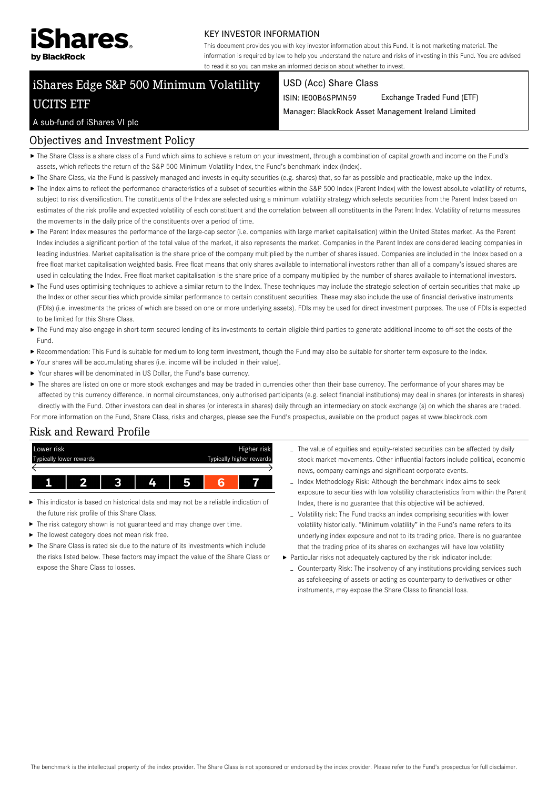

#### KEY INVESTOR INFORMATION

This document provides you with key investor information about this Fund. It is not marketing material. The information is required by law to help you understand the nature and risks of investing in this Fund. You are advised to read it so you can make an informed decision about whether to invest.

# iShares Edge S&P 500 Minimum Volatility UCITS ETF

#### USD (Acc) Share Class

ISIN: IE00B6SPMN59 Exchange Traded Fund (ETF)

Manager: BlackRock Asset Management Ireland Limited

### A sub-fund of iShares VI plc

## Objectives and Investment Policy

- The Share Class is a share class of a Fund which aims to achieve a return on your investment, through a combination of capital growth and income on the Fund's assets, which reflects the return of the S&P 500 Minimum Volatility Index, the Fund's benchmark index (Index).
- The Share Class, via the Fund is passively managed and invests in equity securities (e.g. shares) that, so far as possible and practicable, make up the Index.
- ▶ The Index aims to reflect the performance characteristics of a subset of securities within the S&P 500 Index (Parent Index) with the lowest absolute volatility of returns, subject to risk diversification. The constituents of the Index are selected using a minimum volatility strategy which selects securities from the Parent Index based on estimates of the risk profile and expected volatility of each constituent and the correlation between all constituents in the Parent Index. Volatility of returns measures the movements in the daily price of the constituents over a period of time.
- ▶ The Parent Index measures the performance of the large-cap sector (i.e. companies with large market capitalisation) within the United States market. As the Parent Index includes a significant portion of the total value of the market, it also represents the market. Companies in the Parent Index are considered leading companies in leading industries. Market capitalisation is the share price of the company multiplied by the number of shares issued. Companies are included in the Index based on a free float market capitalisation weighted basis. Free float means that only shares available to international investors rather than all of a company's issued shares are used in calculating the Index. Free float market capitalisation is the share price of a company multiplied by the number of shares available to international investors.
- ▶ The Fund uses optimising techniques to achieve a similar return to the Index. These techniques may include the strategic selection of certain securities that make up the Index or other securities which provide similar performance to certain constituent securities. These may also include the use of financial derivative instruments (FDIs) (i.e. investments the prices of which are based on one or more underlying assets). FDIs may be used for direct investment purposes. The use of FDIs is expected to be limited for this Share Class.
- ▶ The Fund may also engage in short-term secured lending of its investments to certain eligible third parties to generate additional income to off-set the costs of the Fund.
- Recommendation: This Fund is suitable for medium to long term investment, though the Fund may also be suitable for shorter term exposure to the Index.
- Your shares will be accumulating shares (i.e. income will be included in their value).
- Your shares will be denominated in US Dollar, the Fund's base currency.
- ▶ The shares are listed on one or more stock exchanges and may be traded in currencies other than their base currency. The performance of your shares may be affected by this currency difference. In normal circumstances, only authorised participants (e.g. select financial institutions) may deal in shares (or interests in shares) directly with the Fund. Other investors can deal in shares (or interests in shares) daily through an intermediary on stock exchange (s) on which the shares are traded.

For more information on the Fund, Share Class, risks and charges, please see the Fund's prospectus, available on the product pages at www.blackrock.com

# Risk and Reward Profile



- This indicator is based on historical data and may not be a reliable indication of the future risk profile of this Share Class.
- The risk category shown is not guaranteed and may change over time.
- The lowest category does not mean risk free.
- The Share Class is rated six due to the nature of its investments which include the risks listed below. These factors may impact the value of the Share Class or expose the Share Class to losses.
- The value of equities and equity-related securities can be affected by daily stock market movements. Other influential factors include political, economic news, company earnings and significant corporate events.
- Index Methodology Risk: Although the benchmark index aims to seek exposure to securities with low volatility characteristics from within the Parent Index, there is no guarantee that this objective will be achieved.
- Volatility risk: The Fund tracks an index comprising securities with lower volatility historically. "Minimum volatility" in the Fund's name refers to its underlying index exposure and not to its trading price. There is no guarantee that the trading price of its shares on exchanges will have low volatility
- Particular risks not adequately captured by the risk indicator include:
	- Counterparty Risk: The insolvency of any institutions providing services such as safekeeping of assets or acting as counterparty to derivatives or other instruments, may expose the Share Class to financial loss.